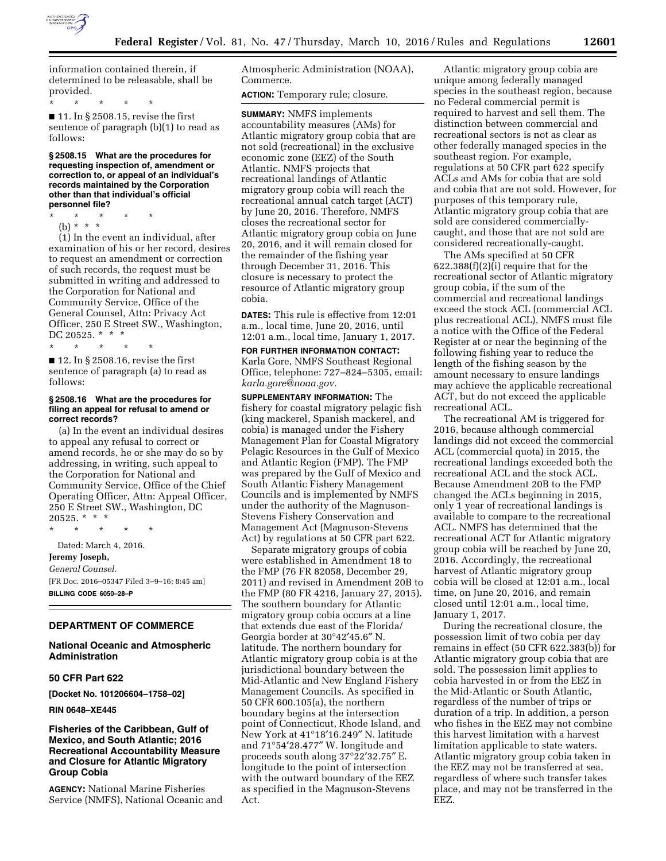

information contained therein, if determined to be releasable, shall be provided.

\* \* \* \* \*

■ 11. In § 2508.15, revise the first sentence of paragraph (b)(1) to read as follows:

**§ 2508.15 What are the procedures for requesting inspection of, amendment or correction to, or appeal of an individual's records maintained by the Corporation other than that individual's official personnel file?** 

\* \* \* \* \* (b) \* \* \*

(1) In the event an individual, after examination of his or her record, desires to request an amendment or correction of such records, the request must be submitted in writing and addressed to the Corporation for National and Community Service, Office of the General Counsel, Attn: Privacy Act Officer, 250 E Street SW., Washington, DC 20525. \* \* \*

\* \* \* \* \*

■ 12. In § 2508.16, revise the first sentence of paragraph (a) to read as follows:

### **§ 2508.16 What are the procedures for filing an appeal for refusal to amend or correct records?**

(a) In the event an individual desires to appeal any refusal to correct or amend records, he or she may do so by addressing, in writing, such appeal to the Corporation for National and Community Service, Office of the Chief Operating Officer, Attn: Appeal Officer, 250 E Street SW., Washington, DC  $20525.$  \* \* \*

\* \* \* \* \* Dated: March 4, 2016. **Jeremy Joseph,**  *General Counsel.*  [FR Doc. 2016–05347 Filed 3–9–16; 8:45 am] **BILLING CODE 6050–28–P** 

# **DEPARTMENT OF COMMERCE**

## **National Oceanic and Atmospheric Administration**

# **50 CFR Part 622**

**[Docket No. 101206604–1758–02]** 

## **RIN 0648–XE445**

## **Fisheries of the Caribbean, Gulf of Mexico, and South Atlantic; 2016 Recreational Accountability Measure and Closure for Atlantic Migratory Group Cobia**

**AGENCY:** National Marine Fisheries Service (NMFS), National Oceanic and Atmospheric Administration (NOAA), Commerce.

**ACTION:** Temporary rule; closure.

**SUMMARY:** NMFS implements accountability measures (AMs) for Atlantic migratory group cobia that are not sold (recreational) in the exclusive economic zone (EEZ) of the South Atlantic. NMFS projects that recreational landings of Atlantic migratory group cobia will reach the recreational annual catch target (ACT) by June 20, 2016. Therefore, NMFS closes the recreational sector for Atlantic migratory group cobia on June 20, 2016, and it will remain closed for the remainder of the fishing year through December 31, 2016. This closure is necessary to protect the resource of Atlantic migratory group cobia.

**DATES:** This rule is effective from 12:01 a.m., local time, June 20, 2016, until 12:01 a.m., local time, January 1, 2017.

**FOR FURTHER INFORMATION CONTACT:**  Karla Gore, NMFS Southeast Regional Office, telephone: 727–824–5305, email: *[karla.gore@noaa.gov.](mailto:karla.gore@noaa.gov)* 

**SUPPLEMENTARY INFORMATION:** The fishery for coastal migratory pelagic fish (king mackerel, Spanish mackerel, and cobia) is managed under the Fishery Management Plan for Coastal Migratory Pelagic Resources in the Gulf of Mexico and Atlantic Region (FMP). The FMP was prepared by the Gulf of Mexico and South Atlantic Fishery Management Councils and is implemented by NMFS under the authority of the Magnuson-Stevens Fishery Conservation and Management Act (Magnuson-Stevens Act) by regulations at 50 CFR part 622.

Separate migratory groups of cobia were established in Amendment 18 to the FMP (76 FR 82058, December 29, 2011) and revised in Amendment 20B to the FMP (80 FR 4216, January 27, 2015). The southern boundary for Atlantic migratory group cobia occurs at a line that extends due east of the Florida/ Georgia border at 30°42′45.6″ N. latitude. The northern boundary for Atlantic migratory group cobia is at the jurisdictional boundary between the Mid-Atlantic and New England Fishery Management Councils. As specified in 50 CFR 600.105(a), the northern boundary begins at the intersection point of Connecticut, Rhode Island, and New York at 41°18′16.249″ N. latitude and 71°54′28.477″ W. longitude and proceeds south along 37°22′32.75″ E. longitude to the point of intersection with the outward boundary of the EEZ as specified in the Magnuson-Stevens Act.

Atlantic migratory group cobia are unique among federally managed species in the southeast region, because no Federal commercial permit is required to harvest and sell them. The distinction between commercial and recreational sectors is not as clear as other federally managed species in the southeast region. For example, regulations at 50 CFR part 622 specify ACLs and AMs for cobia that are sold and cobia that are not sold. However, for purposes of this temporary rule, Atlantic migratory group cobia that are sold are considered commerciallycaught, and those that are not sold are considered recreationally-caught.

The AMs specified at 50 CFR  $622.388(f)(2)(i)$  require that for the recreational sector of Atlantic migratory group cobia, if the sum of the commercial and recreational landings exceed the stock ACL (commercial ACL plus recreational ACL), NMFS must file a notice with the Office of the Federal Register at or near the beginning of the following fishing year to reduce the length of the fishing season by the amount necessary to ensure landings may achieve the applicable recreational ACT, but do not exceed the applicable recreational ACL.

The recreational AM is triggered for 2016, because although commercial landings did not exceed the commercial ACL (commercial quota) in 2015, the recreational landings exceeded both the recreational ACL and the stock ACL. Because Amendment 20B to the FMP changed the ACLs beginning in 2015, only 1 year of recreational landings is available to compare to the recreational ACL. NMFS has determined that the recreational ACT for Atlantic migratory group cobia will be reached by June 20, 2016. Accordingly, the recreational harvest of Atlantic migratory group cobia will be closed at 12:01 a.m., local time, on June 20, 2016, and remain closed until 12:01 a.m., local time, January 1, 2017.

During the recreational closure, the possession limit of two cobia per day remains in effect (50 CFR 622.383(b)) for Atlantic migratory group cobia that are sold. The possession limit applies to cobia harvested in or from the EEZ in the Mid-Atlantic or South Atlantic, regardless of the number of trips or duration of a trip. In addition, a person who fishes in the EEZ may not combine this harvest limitation with a harvest limitation applicable to state waters. Atlantic migratory group cobia taken in the EEZ may not be transferred at sea, regardless of where such transfer takes place, and may not be transferred in the EEZ.